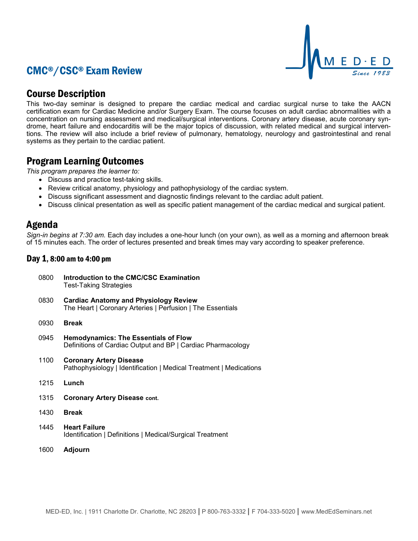# CMC®/CSC® Exam Review



## Course Description

This two-day seminar is designed to prepare the cardiac medical and cardiac surgical nurse to take the AACN certification exam for Cardiac Medicine and/or Surgery Exam. The course focuses on adult cardiac abnormalities with a concentration on nursing assessment and medical/surgical interventions. Coronary artery disease, acute coronary syndrome, heart failure and endocarditis will be the major topics of discussion, with related medical and surgical interventions. The review will also include a brief review of pulmonary, hematology, neurology and gastrointestinal and renal systems as they pertain to the cardiac patient.

## Program Learning Outcomes

*This program prepares the learner to:*

- Discuss and practice test-taking skills.
- Review critical anatomy, physiology and pathophysiology of the cardiac system.
- Discuss significant assessment and diagnostic findings relevant to the cardiac adult patient.
- Discuss clinical presentation as well as specific patient management of the cardiac medical and surgical patient.

### Agenda

*Sign-in begins at 7:30 am.* Each day includes a one-hour lunch (on your own), as well as a morning and afternoon break of 15 minutes each. The order of lectures presented and break times may vary according to speaker preference.

### Day 1, 8:00 am to 4:00 pm

0800 **Introduction to the CMC/CSC Examination** Test-Taking Strategies 0830 **Cardiac Anatomy and Physiology Review**

The Heart | Coronary Arteries | Perfusion | The Essentials

- 0930 **Break**
- 0945 **Hemodynamics: The Essentials of Flow** Definitions of Cardiac Output and BP | Cardiac Pharmacology
- 1100 **Coronary Artery Disease** Pathophysiology | Identification | Medical Treatment | Medications
- 1215 **Lunch**
- 1315 **Coronary Artery Disease cont.**
- 1430 **Break**
- 1445 **Heart Failure** Identification | Definitions | Medical/Surgical Treatment
- 1600 **Adjourn**